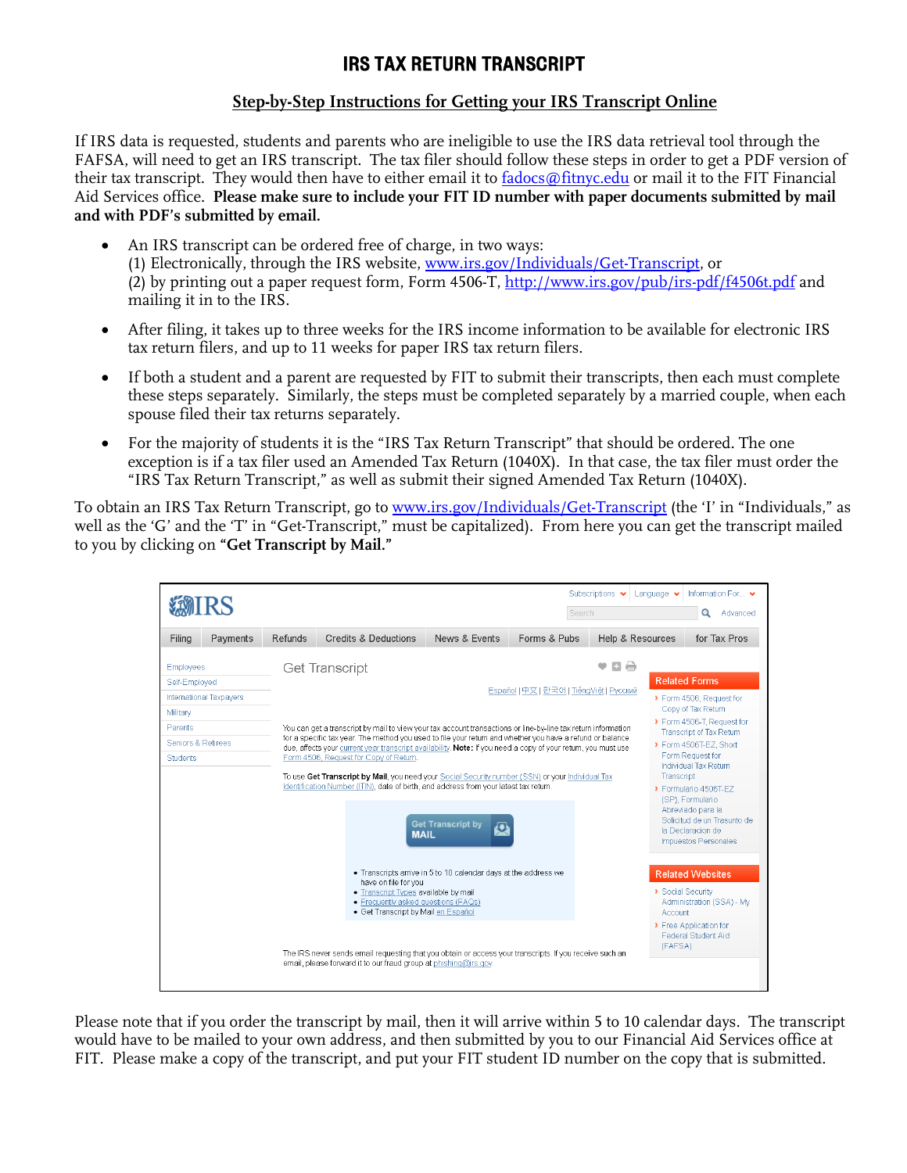## IRS TAX RETURN TRANSCRIPT

## **Step-by-Step Instructions for Getting your IRS Transcript Online**

If IRS data is requested, students and parents who are ineligible to use the IRS data retrieval tool through the FAFSA, will need to get an IRS transcript. The tax filer should follow these steps in order to get a PDF version of their tax transcript. They would then have to either email it to [fadocs@fitnyc.edu](mailto:fadocs@fitnyc.edu) or mail it to the FIT Financial Aid Services office. **Please make sure to include your FIT ID number with paper documents submitted by mail and with PDF's submitted by email.**

- An IRS transcript can be ordered free of charge, in two ways: (1) Electronically, through the IRS website, [www.irs.gov/Individuals/Get-Transcript,](http://www.irs.gov/Individuals/Get-Transcript) or (2) by printing out a paper request form, Form 4506-T,<http://www.irs.gov/pub/irs-pdf/f4506t.pdf> and mailing it in to the IRS.
- After filing, it takes up to three weeks for the IRS income information to be available for electronic IRS tax return filers, and up to 11 weeks for paper IRS tax return filers.
- If both a student and a parent are requested by FIT to submit their transcripts, then each must complete these steps separately. Similarly, the steps must be completed separately by a married couple, when each spouse filed their tax returns separately.
- For the majority of students it is the "IRS Tax Return Transcript" that should be ordered. The one exception is if a tax filer used an Amended Tax Return (1040X). In that case, the tax filer must order the "IRS Tax Return Transcript," as well as submit their signed Amended Tax Return (1040X).

To obtain an IRS Tax Return Transcript, go to [www.irs.gov/Individuals/Get-Transcript](http://www.irs.gov/Individuals/Get-Transcript) (the 'I' in "Individuals," as well as the 'G' and the 'T' in "Get-Transcript," must be capitalized). From here you can get the transcript mailed to you by clicking on **"Get Transcript by Mail."** 

| <b>XMIRS</b>                                                                                                                 | Information For v<br>Subscriptions $\blacktriangleright$<br>Language $\blacktriangleright$<br>Search<br>Q<br>Advanced                                                                                                                                                                                                                                                                                                                                                                                                                                                                                                                                                                                                                                                                                                                                                                                                                                                                                                                                       |                      |               |                                          |                  |                                                     |                                                                                                                                                                                                                                                                                                                                                                                                                                                                |
|------------------------------------------------------------------------------------------------------------------------------|-------------------------------------------------------------------------------------------------------------------------------------------------------------------------------------------------------------------------------------------------------------------------------------------------------------------------------------------------------------------------------------------------------------------------------------------------------------------------------------------------------------------------------------------------------------------------------------------------------------------------------------------------------------------------------------------------------------------------------------------------------------------------------------------------------------------------------------------------------------------------------------------------------------------------------------------------------------------------------------------------------------------------------------------------------------|----------------------|---------------|------------------------------------------|------------------|-----------------------------------------------------|----------------------------------------------------------------------------------------------------------------------------------------------------------------------------------------------------------------------------------------------------------------------------------------------------------------------------------------------------------------------------------------------------------------------------------------------------------------|
| Filing<br>Payments                                                                                                           | Refunds                                                                                                                                                                                                                                                                                                                                                                                                                                                                                                                                                                                                                                                                                                                                                                                                                                                                                                                                                                                                                                                     | Credits & Deductions | News & Events | Forms & Pubs                             | Help & Resources |                                                     | for Tax Pros                                                                                                                                                                                                                                                                                                                                                                                                                                                   |
| <b>Employees</b><br>Self-Employed<br>International Taxpayers<br>Military<br>Parents<br>Seniors & Retirees<br><b>Students</b> | <b>Get Transcript</b><br>You can get a transcript by mail to view your tax account transactions or line-by-line tax return information<br>for a specific tax year. The method you used to file your return and whether you have a refund or balance<br>due, affects your current year transcript availability. Note: If you need a copy of your return, you must use<br>Form 4506, Request for Copy of Return.<br>To use Get Transcript by Mail, you need your Social Security number (SSN) or your Individual Tax<br>Identification Number (ITIN), date of birth, and address from your latest tax return.<br><b>Get Transcript by</b><br>Ð<br><b>MAIL</b><br>• Transcripts arrive in 5 to 10 calendar days at the address we<br>have on file for you<br>• Transcript Types available by mail<br>• Frequently asked questions (FAQs)<br>· Get Transcript by Mail en Español<br>The IRS never sends email requesting that you obtain or access your transcripts. If you receive such an<br>email, please forward it to our fraud group at phishing@irs.gov. |                      |               | Español   中文   한국어   TiếngViệt   Русский | 日号               | Transcript<br>Social Security<br>Account<br>(FAFSA) | <b>Related Forms</b><br>> Form 4506, Request for<br>Copy of Tax Return<br>> Form 4506-T, Request for<br>Transcript of Tax Return<br>> Form 4506T-EZ. Short<br>Form Request for<br>Individual Tax Return<br>> Formulario 4506T-FZ<br>(SP), Formulario<br>Abreviado para la<br>Solicitud de un Trasunto de<br>la Declaracion de<br>Impuestos Personales<br><b>Related Websites</b><br>Administration (SSA) - Mv<br>> Free Application for<br>Federal Student Aid |

Please note that if you order the transcript by mail, then it will arrive within 5 to 10 calendar days. The transcript would have to be mailed to your own address, and then submitted by you to our Financial Aid Services office at FIT. Please make a copy of the transcript, and put your FIT student ID number on the copy that is submitted.